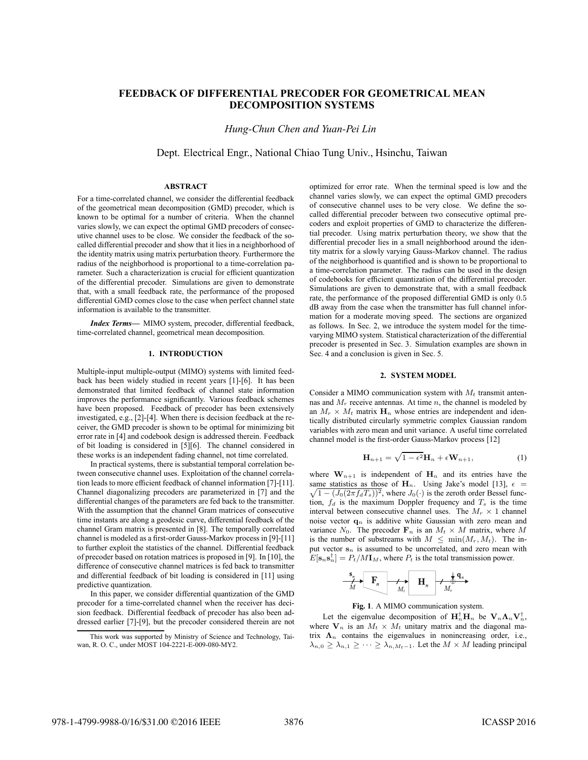# **FEEDBACK OF DIFFERENTIAL PRECODER FOR GEOMETRICAL MEAN DECOMPOSITION SYSTEMS**

*Hung-Chun Chen and Yuan-Pei Lin*

Dept. Electrical Engr., National Chiao Tung Univ., Hsinchu, Taiwan

## **ABSTRACT**

For a time-correlated channel, we consider the differential feedback of the geometrical mean decomposition (GMD) precoder, which is known to be optimal for a number of criteria. When the channel varies slowly, we can expect the optimal GMD precoders of consecutive channel uses to be close. We consider the feedback of the socalled differential precoder and show that it lies in a neighborhood of the identity matrix using matrix perturbation theory. Furthermore the radius of the neighborhood is proportional to a time-correlation parameter. Such a characterization is crucial for efficient quantization of the differential precoder. Simulations are given to demonstrate that, with a small feedback rate, the performance of the proposed differential GMD comes close to the case when perfect channel state information is available to the transmitter.

*Index Terms***—** MIMO system, precoder, differential feedback, time-correlated channel, geometrical mean decomposition.

## **1. INTRODUCTION**

Multiple-input multiple-output (MIMO) systems with limited feedback has been widely studied in recent years [1]-[6]. It has been demonstrated that limited feedback of channel state information improves the performance significantly. Various feedback schemes have been proposed. Feedback of precoder has been extensively investigated, e.g., [2]-[4]. When there is decision feedback at the receiver, the GMD precoder is shown to be optimal for minimizing bit error rate in [4] and codebook design is addressed therein. Feedback of bit loading is considered in [5][6]. The channel considered in these works is an independent fading channel, not time correlated.

In practical systems, there is substantial temporal correlation between consecutive channel uses. Exploitation of the channel correlation leads to more efficient feedback of channel information [7]-[11]. Channel diagonalizing precoders are parameterized in [7] and the differential changes of the parameters are fed back to the transmitter. With the assumption that the channel Gram matrices of consecutive time instants are along a geodesic curve, differential feedback of the channel Gram matrix is presented in [8]. The temporally correlated channel is modeled as a first-order Gauss-Markov process in [9]-[11] to further exploit the statistics of the channel. Differential feedback of precoder based on rotation matrices is proposed in [9]. In [10], the difference of consecutive channel matrices is fed back to transmitter and differential feedback of bit loading is considered in [11] using predictive quantization.

In this paper, we consider differential quantization of the GMD precoder for a time-correlated channel when the receiver has decision feedback. Differential feedback of precoder has also been addressed earlier [7]-[9], but the precoder considered therein are not optimized for error rate. When the terminal speed is low and the channel varies slowly, we can expect the optimal GMD precoders of consecutive channel uses to be very close. We define the socalled differential precoder between two consecutive optimal precoders and exploit properties of GMD to characterize the differential precoder. Using matrix perturbation theory, we show that the differential precoder lies in a small neighborhood around the identity matrix for a slowly varying Gauss-Markov channel. The radius of the neighborhood is quantified and is shown to be proportional to a time-correlation parameter. The radius can be used in the design of codebooks for efficient quantization of the differential precoder. Simulations are given to demonstrate that, with a small feedback rate, the performance of the proposed differential GMD is only 0.5 dB away from the case when the transmitter has full channel information for a moderate moving speed. The sections are organized as follows. In Sec. 2, we introduce the system model for the timevarying MIMO system. Statistical characterization of the differential precoder is presented in Sec. 3. Simulation examples are shown in Sec. 4 and a conclusion is given in Sec. 5.

## **2. SYSTEM MODEL**

Consider a MIMO communication system with  $M_t$  transmit antennas and  $M_r$  receive antennas. At time n, the channel is modeled by an  $M_r \times M_t$  matrix  $\mathbf{H}_n$  whose entries are independent and identically distributed circularly symmetric complex Gaussian random variables with zero mean and unit variance. A useful time correlated channel model is the first-order Gauss-Markov process [12]

$$
\mathbf{H}_{n+1} = \sqrt{1 - \epsilon^2} \mathbf{H}_n + \epsilon \mathbf{W}_{n+1},\tag{1}
$$

where  $W_{n+1}$  is independent of  $H_n$  and its entries have the  $\sqrt{1-(J_0(2\pi f_dT_s))^2}$ , where  $J_0(\cdot)$  is the zeroth order Bessel funcsame statistics as those of  $H_n$ . Using Jake's model [13],  $\epsilon$  = tion,  $f_d$  is the maximum Doppler frequency and  $T_s$  is the time interval between consecutive channel uses. The  $M_r \times 1$  channel noise vector  $q_n$  is additive white Gaussian with zero mean and variance  $N_0$ . The precoder  $\mathbf{F}_n$  is an  $M_t \times M$  matrix, where M is the number of substreams with  $M \n\leq \min(M_r, M_t)$ . The input vector **s**<sup>n</sup> is assumed to be uncorrelated, and zero mean with  $E[\mathbf{s}_n \mathbf{s}_n^\dagger] = P_t / M \mathbf{I}_M$ , where  $P_t$  is the total transmission power.



**Fig. 1**. A MIMO communication system.

Let the eigenvalue decomposition of  $\mathbf{H}^{\dagger}_n \mathbf{H}_n$  be  $\mathbf{V}_n \Lambda_n \mathbf{V}_n^{\dagger}$ , where  $V_n$  is an  $M_t \times M_t$  unitary matrix and the diagonal matrix  $\Lambda_n$  contains the eigenvalues in nonincreasing order, i.e.,  $\lambda_{n,0} \geq \lambda_{n,1} \geq \cdots \geq \lambda_{n,M_t-1}$ . Let the  $M \times M$  leading principal

This work was supported by Ministry of Science and Technology, Taiwan, R. O. C., under MOST 104-2221-E-009-080-MY2.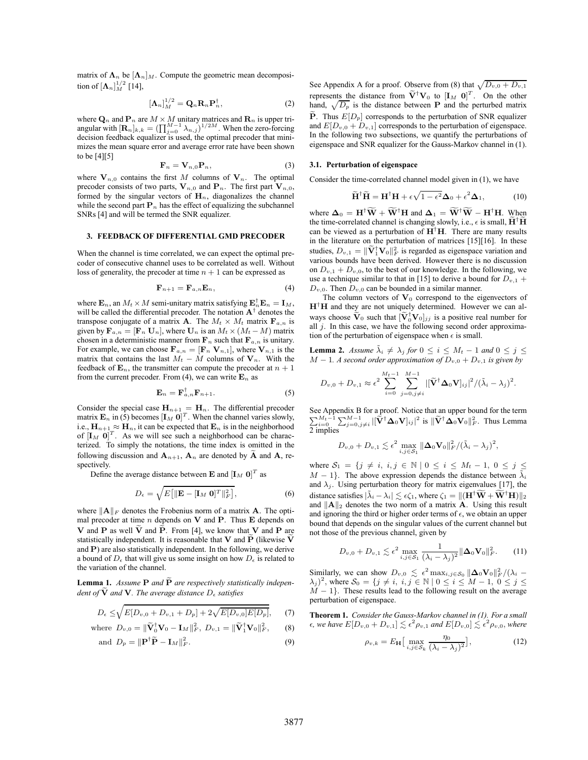matrix of  $\Lambda_n$  be  $[\Lambda_n]_M$ . Compute the geometric mean decomposition of  $[\mathbf{\Lambda}_n]_M^{1/2}$  [14],

$$
\left[\mathbf{\Lambda}_n\right]_M^{1/2} = \mathbf{Q}_n \mathbf{R}_n \mathbf{P}_n^{\dagger},\tag{2}
$$

where  $\mathbf{Q}_n$  and  $\mathbf{P}_n$  are  $M \times M$  unitary matrices and  $\mathbf{R}_n$  is upper triangular with  $[\mathbf{R}_n]_{k,k} = (\prod_{j=0}^{M-1} \lambda_{n,j})^{1/2M}$ . When the zero-forcing decision feedback equalizer is used, the optimal precoder that minimizes the mean square error and average error rate have been shown to be [4][5]

$$
\mathbf{F}_n = \mathbf{V}_{n,0} \mathbf{P}_n, \tag{3}
$$

where  $V_{n,0}$  contains the first M columns of  $V_n$ . The optimal precoder consists of two parts,  $V_{n,0}$  and  $P_n$ . The first part  $V_{n,0}$ , formed by the singular vectors of  $H_n$ , diagonalizes the channel while the second part  $P_n$  has the effect of equalizing the subchannel SNRs [4] and will be termed the SNR equalizer.

## **3. FEEDBACK OF DIFFERENTIAL GMD PRECODER**

When the channel is time correlated, we can expect the optimal precoder of consecutive channel uses to be correlated as well. Without loss of generality, the precoder at time  $n + 1$  can be expressed as

$$
\mathbf{F}_{n+1} = \mathbf{F}_{a,n} \mathbf{E}_n, \tag{4}
$$

where  $\mathbf{E}_n$ , an  $M_t \times M$  semi-unitary matrix satisfying  $\mathbf{E}_n^{\dagger} \mathbf{E}_n = \mathbf{I}_M$ , will be called the differential precoder. The notation  $A^{\dagger}$  denotes the transpose conjugate of a matrix **A**. The  $M_t \times M_t$  matrix  $\mathbf{F}_{a,n}$  is given by  $\mathbf{F}_{a,n} = [\mathbf{F}_n \mathbf{U}_n]$ , where  $\mathbf{U}_n$  is an  $M_t \times (M_t - M)$  matrix chosen in a deterministic manner from  $\mathbf{F}_n$  such that  $\mathbf{F}_{a,n}$  is unitary. For example, we can choose  $\mathbf{F}_{a,n} = [\mathbf{F}_n \ \mathbf{V}_{n,1}]$ , where  $\mathbf{V}_{n,1}$  is the matrix that contains the last  $M_t - M$  columns of  $V_n$ . With the feedback of  $\mathbf{E}_n$ , the transmitter can compute the precoder at  $n + 1$ from the current precoder. From (4), we can write  $\mathbf{E}_n$  as

$$
\mathbf{E}_n = \mathbf{F}_{a,n}^\dagger \mathbf{F}_{n+1}.
$$
 (5)

Consider the special case  $\mathbf{H}_{n+1} = \mathbf{H}_n$ . The differential precoder matrix  $\mathbf{E}_n$  in (5) becomes  $[\mathbf{I}_M \ \mathbf{0}]^T$ . When the channel varies slowly, i.e.,  $\mathbf{H}_{n+1} \approx \mathbf{H}_n$ , it can be expected that  $\mathbf{E}_n$  is in the neighborhood of  $[I_M \ 0]^T$ . As we will see such a neighborhood can be characterized. To simply the notations, the time index is omitted in the following discussion and  $A_{n+1}$ ,  $A_n$  are denoted by  $\overline{A}$  and  $A_n$ , respectively.

Define the average distance between **E** and  $[I_M 0]^T$  as

$$
D_{\epsilon} = \sqrt{E\left[\|\mathbf{E} - [\mathbf{I}_M \ \mathbf{0}]^T\|_F^2\right]},\tag{6}
$$

where  $\|\mathbf{A}\|_F$  denotes the Frobenius norm of a matrix **A**. The optimal precoder at time n depends on **V** and **P**. Thus **E** depends on **V** and **P** as well  $\tilde{V}$  and  $\tilde{P}$ . From [4], we know that **V** and **P** are statistically independent. It is reasonable that **V** and  $\overline{P}$  (likewise  $\overline{V}$ and **P**) are also statistically independent. In the following, we derive a bound of  $D_{\epsilon}$  that will give us some insight on how  $D_{\epsilon}$  is related to the variation of the channel.

**Lemma 1.** *Assume* **P** *and* **P** *are respectively statistically indepen*dent of  $\widetilde{\mathbf{V}}$  and  $\mathbf{V}$ *. The average distance*  $D_{\epsilon}$  satisfies

$$
D_{\epsilon} \le \sqrt{E[D_{v,0} + D_{v,1} + D_p] + 2\sqrt{E[D_{v,0}]}E[D_p]},\tag{7}
$$

where 
$$
D_{v,0} = \|\widetilde{\mathbf{V}}_0^{\dagger} \mathbf{V}_0 - \mathbf{I}_M\|_F^2
$$
,  $D_{v,1} = \|\widetilde{\mathbf{V}}_1^{\dagger} \mathbf{V}_0\|_F^2$ , (8)  
and  $D_p = \|\mathbf{P}^{\dagger} \widetilde{\mathbf{P}} - \mathbf{I}_M\|_F^2$ . (9)

See Appendix A for a proof. Observe from (8) that  $\sqrt{D_{v,0} + D_{v,1}}$ represents the distance from  $\widetilde{V}^{\dagger}V_0$  to  $[I_M \ 0]^T$ . On the other hand,  $\sqrt{D_p}$  is the distance between **P** and the perturbed matrix  $\mathbf{P}$ . Thus  $E[D_p]$  corresponds to the perturbation of SNR equalizer and  $E[D_{v,0} + D_{v,1}]$  corresponds to the perturbation of eigenspace. In the following two subsections, we quantify the perturbations of eigenspace and SNR equalizer for the Gauss-Markov channel in (1).

### **3.1. Perturbation of eigenspace**

Consider the time-correlated channel model given in (1), we have

$$
\widetilde{\mathbf{H}}^{\dagger} \widetilde{\mathbf{H}} = \mathbf{H}^{\dagger} \mathbf{H} + \epsilon \sqrt{1 - \epsilon^2} \Delta_0 + \epsilon^2 \Delta_1, \tag{10}
$$

where  $\mathbf{\Delta}_0 = \mathbf{H}^\dagger \widetilde{\mathbf{W}} + \widetilde{\mathbf{W}}^\dagger \mathbf{H}$  and  $\mathbf{\Delta}_1 = \widetilde{\mathbf{W}}^\dagger \widetilde{\mathbf{W}} - \mathbf{H}^\dagger \mathbf{H}$ . When the time-correlated channel is changing slowly, i.e.,  $\epsilon$  is small,  $\tilde{H}^{\dagger} \tilde{H}$ can be viewed as a perturbation of  $H^{\dagger}H$ . There are many results in the literature on the perturbation of matrices [15][16]. In these studies,  $D_{v,1} = \|\widetilde{\mathbf{V}}_1^{\dagger} \mathbf{V}_0\|_F^2$  is regarded as eigenspace variation and various bounds have been derived. However there is no discussion on  $D_{v,1} + D_{v,0}$ , to the best of our knowledge. In the following, we use a technique similar to that in [15] to derive a bound for  $D_{v,1}$  +  $D_{v,0}$ . Then  $D_{v,0}$  can be bounded in a similar manner.

The column vectors of  $V_0$  correspond to the eigenvectors of **H**†**H** and they are not uniquely determined. However we can always choose  $\tilde{\mathbf{V}}_0$  such that  $[\tilde{\mathbf{V}}_0^{\dagger} \mathbf{V}_0]_{jj}$  is a positive real number for all  $j$ . In this case, we have the following second order approximation of the perturbation of eigenspace when  $\epsilon$  is small.

**Lemma 2.** *Assume*  $\bar{\lambda}_i \neq \lambda_j$  *for*  $0 \leq i \leq M_t - 1$  *and*  $0 \leq j \leq$  $M-1$ *. A second order approximation of*  $D_{v,0} + D_{v,1}$  *is given by* 

$$
D_{v,0} + D_{v,1} \approx \epsilon^2 \sum_{i=0}^{M_t-1} \sum_{j=0, j \neq i}^{M-1} |[\widetilde{\mathbf{V}}^{\dagger} \Delta_0 \mathbf{V}]_{ij}|^2 / (\tilde{\lambda}_i - \lambda_j)^2.
$$

See Appendix B for a proof. Notice that an upper bound for the term  $\sum_{i=0}^{M_t-1} \sum_{j=0, j\neq i}^{M-1} |[\hat{\mathbf{V}}^{\dagger} \mathbf{\Delta}_0 \mathbf{V}]_{ij}|^2$  is  $||\tilde{\mathbf{V}}^{\dagger} \mathbf{\Delta}_0 \mathbf{V}_0||_F^2$ . Thus Lemma 2 implies

$$
D_{v,0} + D_{v,1} \lesssim \epsilon^2 \max_{i,j \in \mathcal{S}_1} \|\Delta_0 \mathbf{V}_0\|_F^2 / (\tilde{\lambda}_i - \lambda_j)^2,
$$

where  $S_1 = \{j \neq i, i, j \in \mathbb{N} \mid 0 \leq i \leq M_t - 1, 0 \leq j \leq 1 \}$  $M - 1$ . The above expression depends the distance between  $\tilde{\lambda}_i$ and  $\lambda_i$ . Using perturbation theory for matrix eigenvalues [17], the distance satisfies  $|\tilde{\lambda}_i - \lambda_i| \le \epsilon \zeta_1$ , where  $\zeta_1 = ||(\mathbf{H}^\dagger \widetilde{\mathbf{W}} + \widetilde{\mathbf{W}}^\dagger \mathbf{H})||_2$ and  $\|\mathbf{A}\|_2$  denotes the two norm of a matrix **A**. Using this result and ignoring the third or higher order terms of  $\epsilon$ , we obtain an upper bound that depends on the singular values of the current channel but not those of the previous channel, given by

$$
D_{v,0} + D_{v,1} \lesssim \epsilon^2 \max_{i,j \in \mathcal{S}_1} \frac{1}{(\lambda_i - \lambda_j)^2} ||\mathbf{\Delta}_0 \mathbf{V}_0||_F^2.
$$
 (11)

Similarly, we can show  $D_{v,0} \leq \epsilon^2 \max_{i,j \in S_0} ||\Delta_0 \mathbf{V}_0||_F^2 / (\lambda_i - \lambda_j)^2$ , where  $S_0 = \{j \neq i, i, j \in \mathbb{N} \mid 0 \leq i \leq M - 1, 0 \leq j \leq n \}$  $M - 1$ . These results lead to the following result on the average perturbation of eigenspace.

**Theorem 1.** *Consider the Gauss-Markov channel in (1). For a small*  $\epsilon$ , we have  $E[D_{v,0} + D_{v,1}] \lesssim \epsilon^2 \rho_{v,1}$  and  $E[D_{v,0}] \lesssim \epsilon^2 \rho_{v,0}$ , where

$$
\rho_{v,k} = E_{\mathbf{H}} \left[ \max_{i,j \in \mathcal{S}_k} \frac{\eta_0}{(\lambda_i - \lambda_j)^2} \right],\tag{12}
$$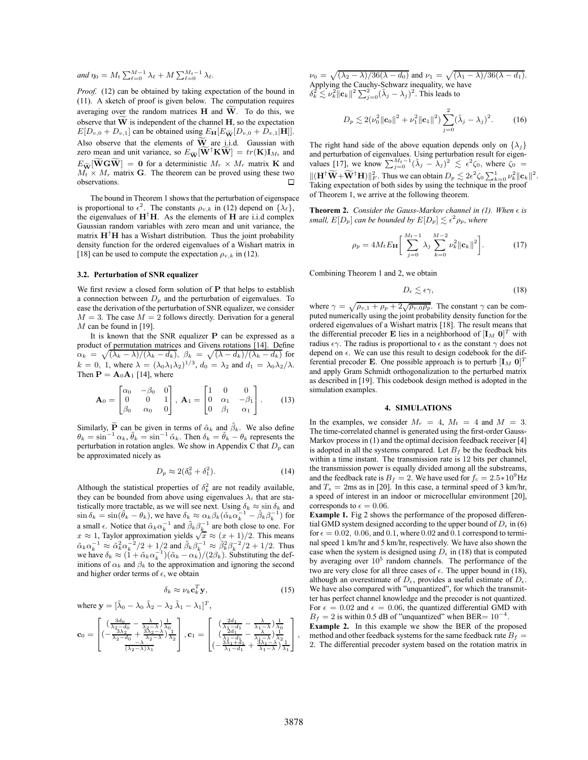*and*  $\eta_0 = M_t \sum_{\ell=0}^{M-1} \lambda_\ell + M \sum_{\ell=0}^{M_t-1} \lambda_\ell$ .

*Proof.* (12) can be obtained by taking expectation of the bound in (11). A sketch of proof is given below. The computation requires averaging over the random matrices **H** and **W**. To do this, we observe that  $\widetilde{W}$  is independent of the channel **H**, so the expectation  $E[D_{v,0} + D_{v,1}]$  can be obtained using  $E_{\mathbf{H}}[E_{\widetilde{\mathbf{W}}}[D_{v,0} + D_{v,1}|\mathbf{H}]]$ . Also observe that the elements of  $\widetilde{W}$  are i.i.d. Gaussian with zero mean and unit variance, so  $E_{\widetilde{\mathbf{W}}}[\widetilde{\mathbf{W}}^{\dagger}\mathbf{K}\widetilde{\mathbf{W}}] = tr(\mathbf{K})\mathbf{I}_{M_t}$  and  $E_{\widetilde{\textbf{W}}}[\widetilde{\textbf{W}}\textbf{G}\widetilde{\textbf{W}}] = \textbf{0}$  for a deterministic  $M_r \times M_r$  matrix **K** and  $M_t \times M_r$  matrix **G**. The theorem can be proved using these two observations.

The bound in Theorem 1 shows that the perturbation of eigenspace is proportional to  $\epsilon^2$ . The constants  $\rho_{v,k}$  in (12) depend on  $\{\lambda_\ell\}$ , the eigenvalues of  $H^{\dagger}H$ . As the elements of  $H$  are i.i.d complex Gaussian random variables with zero mean and unit variance, the matrix  $H^{\dagger}H$  has a Wishart distribution. Thus the joint probability density function for the ordered eigenvalues of a Wishart matrix in [18] can be used to compute the expectation  $\rho_{v,k}$  in (12).

### **3.2. Perturbation of SNR equalizer**

We first review a closed form solution of **P** that helps to establish a connection between  $D_p$  and the perturbation of eigenvalues. To ease the derivation of the perturbation of SNR equalizer, we consider  $M = 3$ . The case  $M = 2$  follows directly. Derivation for a general  $M$  can be found in [19].

It is known that the SNR equalizer **P** can be expressed as a product of permutation matrices and Givens rotations [14]. Define  $\alpha_k = \sqrt{(\lambda_k - \lambda)/(\lambda_k - d_k)}$ ,  $\beta_k = \sqrt{(\lambda - d_k)/(\lambda_k - d_k)}$  for  $k = 0, 1$ , where  $\lambda = (\lambda_0 \lambda_1 \lambda_2)^{1/3}$ ,  $d_0 = \lambda_2$  and  $d_1 = \lambda_0 \lambda_2/\lambda$ . Then  $\mathbf{P} = \mathbf{A}_0 \mathbf{A}_1$  [14], where

$$
\mathbf{A}_0 = \begin{bmatrix} \alpha_0 & -\beta_0 & 0 \\ 0 & 0 & 1 \\ \beta_0 & \alpha_0 & 0 \end{bmatrix}, \ \mathbf{A}_1 = \begin{bmatrix} 1 & 0 & 0 \\ 0 & \alpha_1 & -\beta_1 \\ 0 & \beta_1 & \alpha_1 \end{bmatrix}. \tag{13}
$$

Similarly,  $\widetilde{P}$  can be given in terms of  $\tilde{\alpha}_k$  and  $\tilde{\beta}_k$ . We also define  $\theta_k = \sin^{-1} \alpha_k$ ,  $\tilde{\theta}_k = \sin^{-1} \tilde{\alpha}_k$ . Then  $\delta_k = \tilde{\theta}_k - \theta_k$  represents the perturbation in rotation angles. We show in Appendix C that  $D_p$  can be approximated nicely as

$$
D_p \approx 2(\delta_0^2 + \delta_1^2). \tag{14}
$$

Although the statistical properties of  $\delta_k^2$  are not readily available, they can be bounded from above using eigenvalues  $\lambda_i$  that are statistically more tractable, as we will see next. Using  $\delta_k \approx \sin \delta_k$  and  $\sin \delta_k = \sin(\tilde{\theta}_k - \theta_k)$ , we have  $\delta_k \approx \alpha_k \beta_k (\tilde{\alpha}_k \alpha_k^{-1} - \tilde{\beta}_k \beta_k^{-1})$  for a small  $\epsilon$ . Notice that  $\tilde{\alpha}_k \alpha_k^{-1}$  and  $\tilde{\beta}_k \beta_k^{-1}$  are both close to one. For  $x \approx 1$ , Taylor approximation yields  $\sqrt{x} \approx (x + 1)/2$ . This means  $\tilde{\alpha}_k \alpha_k^{-1} \approx \tilde{\alpha}_k^2 \alpha_k^{-2}/2 + 1/2$  and  $\tilde{\beta}_k \beta_k^{-1} \approx \tilde{\beta}_k^$ we have  $\delta_k \approx (1 + \tilde{\alpha}_k \alpha_k^{-1})(\tilde{\alpha}_k - \alpha_k)/(2\beta_k)$ . Substituting the definitions of  $\alpha_k$  and  $\beta_k$  to the approximation and ignoring the second and higher order terms of  $\epsilon$ , we obtain

$$
\delta_k \approx \nu_k \mathbf{c}_k^T \mathbf{y},\tag{15}
$$

where 
$$
\mathbf{y} = [\tilde{\lambda}_0 - \lambda_0 \tilde{\lambda}_2 - \lambda_2 \tilde{\lambda}_1 - \lambda_1]^T
$$
,  
\n
$$
\mathbf{c}_0 = \begin{bmatrix} (\frac{3d_0}{\lambda_2 - d_0} - \frac{\lambda_2}{\lambda_2 - \lambda})\frac{1}{\lambda_0} \\ (-\frac{3\lambda_2}{\lambda_2 - d_0} + \frac{3\lambda_2 - \lambda}{\lambda_2 - \lambda})\frac{1}{\lambda_2} \\ \frac{-\lambda_0}{(\lambda_2 - \lambda)\lambda_1} \end{bmatrix}, \mathbf{c}_1 = \begin{bmatrix} (\frac{2d_1}{\lambda_1 - d_1} - \frac{\lambda}{\lambda_1 - \lambda})\frac{1}{\lambda_0} \\ (\frac{2d_1}{\lambda_1 - d_1} - \frac{\lambda}{\lambda_1 - \lambda})\frac{1}{\lambda_2} \\ (-\frac{3\lambda_1 + d_1}{\lambda_1 - d_1} + \frac{3\lambda_1 - \lambda}{\lambda_1 - \lambda})\frac{1}{\lambda_1} \end{bmatrix},
$$

 $\nu_0 = \sqrt{(\lambda_2 - \lambda)/36(\lambda - d_0)}$  and  $\nu_1 = \sqrt{(\lambda_1 - \lambda)/36(\lambda - d_1)}$ .<br>Applying the Cauchy-Schwarz inequality, we have  $\delta_k^2 \lesssim \nu_k^2 \|\mathbf{c}_k\|^2 \sum_{j=0}^{2} (\tilde{\lambda}_j - \lambda_j)^2$ . This leads to

$$
D_p \lesssim 2(\nu_0^2 \|\mathbf{c}_0\|^2 + \nu_1^2 \|\mathbf{c}_1\|^2) \sum_{j=0}^2 (\tilde{\lambda}_j - \lambda_j)^2.
$$
 (16)

The right hand side of the above equation depends only on  $\{\lambda_i\}$ and perturbation of eigenvalues. Using perturbation result for eigenvalues [17], we know  $\sum_{j=0}^{M_t-1} (\tilde{\lambda}_j - \lambda_j)^2 \leq \epsilon^2 \zeta_0$ , where  $\zeta_0 =$  $\|(\mathbf{H}^\dagger \widetilde{\mathbf{W}} + \widetilde{\mathbf{W}}^\dagger \mathbf{H})\|^2_F$ . Thus we can obtain  $D_p \lesssim 2\epsilon^2 \zeta_0 \sum_{k=0}^1 \nu_k^2 \|\mathbf{c}_k\|^2$ . Taking expectation of both sides by using the technique in the proof of Theorem 1, we arrive at the following theorem.

**Theorem 2.** Consider the Gauss-Markov channel in  $(1)$ . When  $\epsilon$  is *small,*  $E[D_p]$  *can be bounded by*  $E[D_p] \leq \epsilon^2 \rho_p$ *, where* 

$$
\rho_p = 4M_t E_{\mathbf{H}} \bigg[ \sum_{j=0}^{M_t - 1} \lambda_j \sum_{k=0}^{M-2} \nu_k^2 ||\mathbf{c}_k||^2 \bigg].
$$
 (17)

Combining Theorem 1 and 2, we obtain

$$
D_{\epsilon} \lesssim \epsilon \gamma,\tag{18}
$$

where  $\gamma = \sqrt{\rho_{v,1} + \rho_p + 2\sqrt{\rho_{v,0}\rho_p}}$ . The constant  $\gamma$  can be computed numerically using the joint probability density function for the ordered eigenvalues of a Wishart matrix [18]. The result means that the differential precoder **E** lies in a neighborhood of  $[I_M \ 0]^T$  with radius  $\epsilon \gamma$ . The radius is proportional to  $\epsilon$  as the constant  $\gamma$  does not depend on  $\epsilon$ . We can use this result to design codebook for the differential precoder **E**. One possible approach is to perturb  $[I_M \ 0]^T$ and apply Gram Schmidt orthogonalization to the perturbed matrix as described in [19]. This codebook design method is adopted in the simulation examples.

#### **4. SIMULATIONS**

In the examples, we consider  $M_r = 4$ ,  $M_t = 4$  and  $M = 3$ . The time-correlated channel is generated using the first-order Gauss-Markov process in (1) and the optimal decision feedback receiver [4] is adopted in all the systems compared. Let  $B_f$  be the feedback bits within a time instant. The transmission rate is 12 bits per channel, the transmission power is equally divided among all the substreams, and the feedback rate is  $B_f = 2$ . We have used for  $f_c = 2.5 * 10^9$  Hz and  $T_s = 2$ ms as in [20]. In this case, a terminal speed of 3 km/hr, a speed of interest in an indoor or microcellular environment [20], corresponds to  $\epsilon = 0.06$ .

**Example 1.** Fig 2 shows the performance of the proposed differential GMD system designed according to the upper bound of  $D_{\epsilon}$  in (6) for  $\epsilon = 0.02$ , 0.06, and 0.1, where 0.02 and 0.1 correspond to terminal speed 1 km/hr and 5 km/hr, respectively. We have also shown the case when the system is designed using  $D_{\epsilon}$  in (18) that is computed by averaging over  $10^5$  random channels. The performance of the two are very close for all three cases of  $\epsilon$ . The upper bound in (18), although an overestimate of  $D_{\epsilon}$ , provides a useful estimate of  $D_{\epsilon}$ . We have also compared with "unquantized", for which the transmitter has perfect channel knowledge and the precoder is not quantized. For  $\epsilon = 0.02$  and  $\epsilon = 0.06$ , the quantized differential GMD with  $B_f = 2$  is within 0.5 dB of "unquantized" when BER=  $10^{-4}$ .

**Example 2.** In this example we show the BER of the proposed method and other feedback systems for the same feedback rate  $B_f$  = 2. The differential precoder system based on the rotation matrix in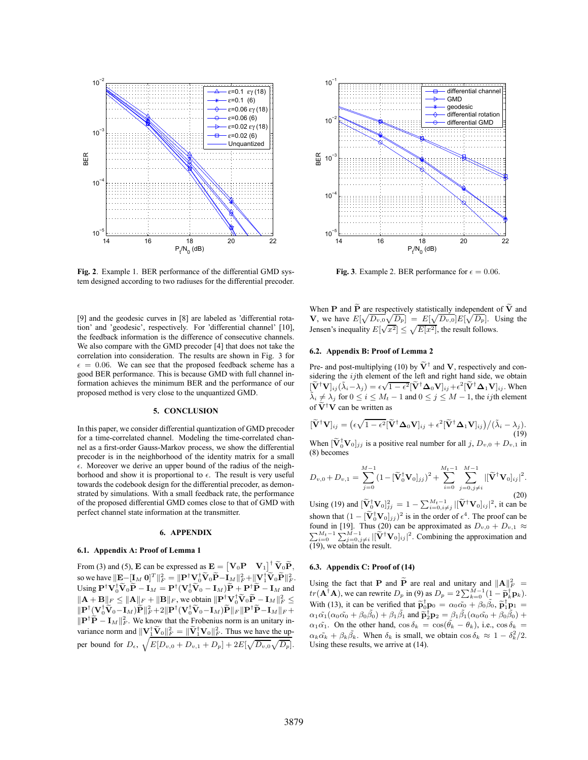

**Fig. 2**. Example 1. BER performance of the differential GMD system designed according to two radiuses for the differential precoder.

[9] and the geodesic curves in [8] are labeled as 'differential rotation' and 'geodesic', respectively. For 'differential channel' [10], the feedback information is the difference of consecutive channels. We also compare with the GMD precoder [4] that does not take the correlation into consideration. The results are shown in Fig. 3 for  $\epsilon = 0.06$ . We can see that the proposed feedback scheme has a good BER performance. This is because GMD with full channel information achieves the minimum BER and the performance of our proposed method is very close to the unquantized GMD.

## **5. CONCLUSION**

In this paper, we consider differential quantization of GMD precoder for a time-correlated channel. Modeling the time-correlated channel as a first-order Gauss-Markov process, we show the differential precoder is in the neighborhood of the identity matrix for a small  $\epsilon$ . Moreover we derive an upper bound of the radius of the neighborhood and show it is proportional to  $\epsilon$ . The result is very useful towards the codebook design for the differential precoder, as demonstrated by simulations. With a small feedback rate, the performance of the proposed differential GMD comes close to that of GMD with perfect channel state information at the transmitter.

### **6. APPENDIX**

### **6.1. Appendix A: Proof of Lemma 1**

From (3) and (5), **E** can be expressed as  $\mathbf{E} = [\mathbf{V}_0 \mathbf{P} \quad \mathbf{V}_1]^\dagger \widetilde{\mathbf{V}}_0 \widetilde{\mathbf{P}},$ so we have  $\|\mathbf{E} - [\mathbf{I}_M \ \mathbf{0}]^T\|_F^2 = \|\mathbf{P}^\dagger \mathbf{V}^\dagger_0 \widetilde{\mathbf{V}}_0 \widetilde{\mathbf{P}} - \mathbf{I}_M\|_F^2 + \|\mathbf{V}^\dagger_1 \widetilde{\mathbf{V}}_0 \widetilde{\mathbf{P}}\|_F^2.$ Using  $\mathbf{P}^{\dagger} \mathbf{V}_{0}^{\dagger} \widetilde{\mathbf{V}}_{0} \widetilde{\mathbf{P}} - \mathbf{I}_{M} = \mathbf{P}^{\dagger} (\mathbf{V}_{0}^{\dagger} \widetilde{\mathbf{V}}_{0} - \mathbf{I}_{M}) \widetilde{\mathbf{P}} + \mathbf{P}^{\dagger} \widetilde{\mathbf{P}} - \mathbf{I}_{M}$  and  $\|\mathbf{A} + \mathbf{B}\|_F \le \|\mathbf{A}\|_F + \|\mathbf{B}\|_F$ , we obtain  $\|\mathbf{P}^\dagger \mathbf{V}_0^\dagger \widetilde{\mathbf{V}}_0 \widetilde{\mathbf{P}} - \mathbf{I}_M\|_F^2 \le$  $\|\mathbf{P}^\dagger(\mathbf{V}_0^\dagger\widetilde{\mathbf{V}}_0 - \mathbf{I}_M)\widetilde{\mathbf{P}}\|_F^2 + 2\|\mathbf{P}^\dagger(\mathbf{V}_0^\dagger\widetilde{\mathbf{V}}_0 - \mathbf{I}_M)\widetilde{\mathbf{P}}\|_F\|\mathbf{P}^\dagger\widetilde{\mathbf{P}} - \mathbf{I}_M\|_F +$  $\|\mathbf{P}^\dagger \widetilde{\mathbf{P}} - \mathbf{I}_M\|_F^2$ . We know that the Frobenius norm is an unitary invariance norm and  $\|\mathbf{V}_{\perp}^{\dagger} \tilde{\mathbf{V}}_0\|_F^2 = \|\tilde{\mathbf{V}}_{\perp}^{\dagger} \mathbf{V}_0\|_F^2$ . Thus we have the upper bound for  $D_{\epsilon}$ ,  $\sqrt{E[D_{v,0} + D_{v,1} + D_p] + 2E[\sqrt{D_{v,0}}\sqrt{D_p}]}$ .



Fig. 3. Example 2. BER performance for  $\epsilon = 0.06$ .

When **P** and  $\tilde{P}$  are respectively statistically independent of  $\tilde{V}$  and **V**, we have  $E[\sqrt{D_{v,0}}\sqrt{D_p}] = E[\sqrt{D_{v,0}}]E[\sqrt{D_p}]$ . Using the Jensen's inequality  $E[\sqrt{x^2}] \le \sqrt{E[x^2]}$ , the result follows.

#### **6.2. Appendix B: Proof of Lemma 2**

Pre- and post-multiplying (10) by  $\widetilde{V}^{\dagger}$  and **V**, respectively and considering the  $ij$ th element of the left and right hand side, we obtain  $\left[\tilde{\mathbf{V}}^{\dagger}\mathbf{V}\right]_{ij}(\tilde{\lambda}_i - \lambda_j) = \epsilon \sqrt{1 - \epsilon^2} \left[\tilde{\mathbf{V}}^{\dagger} \boldsymbol{\Delta}_0 \mathbf{V}\right]_{ij} + \epsilon^2 \left[\tilde{\mathbf{V}}^{\dagger} \boldsymbol{\Delta}_1 \mathbf{V}\right]_{ij}$ . When  $\tilde{\lambda}_i \neq \lambda_j$  for  $0 \leq i \leq M_t - 1$  and  $0 \leq j \leq M - 1$ , the *ij*th element of  $\tilde{V}^{\dagger}V$  can be written as

$$
[\widetilde{\mathbf{V}}^{\dagger}\mathbf{V}]_{ij} = (\epsilon\sqrt{1-\epsilon^2}[\widetilde{\mathbf{V}}^{\dagger}\boldsymbol{\Delta}_0\mathbf{V}]_{ij} + \epsilon^2[\widetilde{\mathbf{V}}^{\dagger}\boldsymbol{\Delta}_1\mathbf{V}]_{ij})/(\widetilde{\lambda}_i - \lambda_j).
$$
\n(19)

When  $[\tilde{\mathbf{V}}_0^{\dagger} \mathbf{V}_0]_{jj}$  is a positive real number for all j,  $D_{v,0} + D_{v,1}$  in (8) becomes

$$
D_{v,0} + D_{v,1} = \sum_{j=0}^{M-1} (1 - [\widetilde{\mathbf{V}}_0^{\dagger} \mathbf{V}_0]_{jj})^2 + \sum_{i=0}^{M_t-1} \sum_{j=0, j \neq i}^{M-1} |[\widetilde{\mathbf{V}}^{\dagger} \mathbf{V}_0]_{ij}|^2.
$$
\n(20)

Using (19) and  $[\tilde{\mathbf{V}}_0^{\dagger} \mathbf{V}_0]_{jj}^2 = 1 - \sum_{i=0, i \neq j}^{M_t - 1} |[\tilde{\mathbf{V}}^{\dagger} \mathbf{V}_0]_{ij}|^2$ , it can be shown that  $(1 - [\tilde{\mathbf{V}}_0^{\dagger} \mathbf{V}_0]_{jj})^2$  is in the order of  $\epsilon^4$ . The proof can be found in [19]. Thus (20) can be approximated as  $D_{v,0} + D_{v,1} \approx \sum_{i=0}^{M_t-1} \sum_{j=0,j\neq i}^{M-1} |[\tilde{V}^{\dagger}V_0]_{ij}|^2$ . Combining the approximation and (19), we obtain the result.

## **6.3. Appendix C: Proof of (14)**

Using the fact that **P** and  $\widetilde{\mathbf{P}}$  are real and unitary and  $||\mathbf{A}||_F^2 =$  $tr(\mathbf{A}^{\dagger} \mathbf{A})$ , we can rewrite  $D_p$  in (9) as  $D_p = 2 \sum_{k=0}^{M-1} \left(1 - \widetilde{\mathbf{p}}_k^{\dagger} \mathbf{p}_k\right)$ . With (13), it can be verified that  $\tilde{p}_0^{\dagger} \mathbf{p}_0 = \alpha_0 \tilde{\alpha_0} + \beta_0 \tilde{\beta_0}$ ,  $\tilde{p}_1^{\dagger} \mathbf{p}_1 =$  $\alpha_1\tilde{\alpha}_1(\alpha_0\tilde{\alpha_0}+\beta_0\tilde{\beta_0})+\beta_1\tilde{\beta_1}$  and  $\tilde{\mathbf{p}}_2^{\dagger}\mathbf{p}_2=\beta_1\tilde{\beta_1}(\alpha_0\tilde{\alpha_0}+\beta_0\tilde{\beta_0})+$  $\alpha_1\tilde{\alpha_1}$ . On the other hand,  $\cos \delta_k = \cos(\tilde{\theta_k} - \theta_k)$ , i.e.,  $\cos \delta_k =$  $\alpha_k \tilde{\alpha_k} + \beta_k \tilde{\beta_k}$ . When  $\delta_k$  is small, we obtain  $\cos \delta_k \approx 1 - \delta_k^2/2$ . Using these results, we arrive at (14).